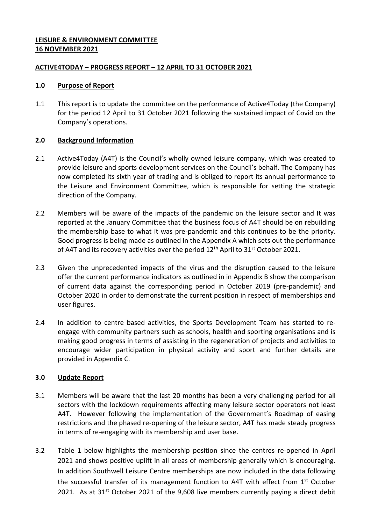## **LEISURE & ENVIRONMENT COMMITTEE 16 NOVEMBER 2021**

## **ACTIVE4TODAY – PROGRESS REPORT – 12 APRIL TO 31 OCTOBER 2021**

### **1.0 Purpose of Report**

1.1 This report is to update the committee on the performance of Active4Today (the Company) for the period 12 April to 31 October 2021 following the sustained impact of Covid on the Company's operations.

# **2.0 Background Information**

- 2.1 Active4Today (A4T) is the Council's wholly owned leisure company, which was created to provide leisure and sports development services on the Council's behalf. The Company has now completed its sixth year of trading and is obliged to report its annual performance to the Leisure and Environment Committee, which is responsible for setting the strategic direction of the Company.
- 2.2 Members will be aware of the impacts of the pandemic on the leisure sector and It was reported at the January Committee that the business focus of A4T should be on rebuilding the membership base to what it was pre-pandemic and this continues to be the priority. Good progress is being made as outlined in the Appendix A which sets out the performance of A4T and its recovery activities over the period  $12<sup>th</sup>$  April to  $31<sup>st</sup>$  October 2021.
- 2.3 Given the unprecedented impacts of the virus and the disruption caused to the leisure offer the current performance indicators as outlined in in Appendix B show the comparison of current data against the corresponding period in October 2019 (pre-pandemic) and October 2020 in order to demonstrate the current position in respect of memberships and user figures.
- 2.4 In addition to centre based activities, the Sports Development Team has started to reengage with community partners such as schools, health and sporting organisations and is making good progress in terms of assisting in the regeneration of projects and activities to encourage wider participation in physical activity and sport and further details are provided in Appendix C.

# **3.0 Update Report**

- 3.1 Members will be aware that the last 20 months has been a very challenging period for all sectors with the lockdown requirements affecting many leisure sector operators not least A4T. However following the implementation of the Government's Roadmap of easing restrictions and the phased re-opening of the leisure sector, A4T has made steady progress in terms of re-engaging with its membership and user base.
- 3.2 Table 1 below highlights the membership position since the centres re-opened in April 2021 and shows positive uplift in all areas of membership generally which is encouraging. In addition Southwell Leisure Centre memberships are now included in the data following the successful transfer of its management function to A4T with effect from 1<sup>st</sup> October 2021. As at 31<sup>st</sup> October 2021 of the 9,608 live members currently paying a direct debit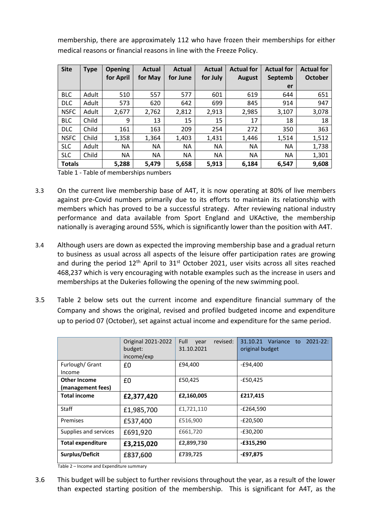membership, there are approximately 112 who have frozen their memberships for either medical reasons or financial reasons in line with the Freeze Policy.

| <b>Site</b>   | <b>Type</b> | <b>Opening</b> | <b>Actual</b> | <b>Actual</b> | Actual    | <b>Actual for</b> | <b>Actual for</b> | <b>Actual for</b> |
|---------------|-------------|----------------|---------------|---------------|-----------|-------------------|-------------------|-------------------|
|               |             | for April      | for May       | for June      | for July  | <b>August</b>     | Septemb           | <b>October</b>    |
|               |             |                |               |               |           |                   | er                |                   |
| <b>BLC</b>    | Adult       | 510            | 557           | 577           | 601       | 619               | 644               | 651               |
| <b>DLC</b>    | Adult       | 573            | 620           | 642           | 699       | 845               | 914               | 947               |
| <b>NSFC</b>   | Adult       | 2,677          | 2,762         | 2,812         | 2,913     | 2,985             | 3,107             | 3,078             |
| <b>BLC</b>    | Child       | 9              | 13            | 15            | 15        | 17                | 18                | 18                |
| <b>DLC</b>    | Child       | 161            | 163           | 209           | 254       | 272               | 350               | 363               |
| <b>NSFC</b>   | Child       | 1,358          | 1,364         | 1,403         | 1,431     | 1,446             | 1,514             | 1,512             |
| <b>SLC</b>    | Adult       | <b>NA</b>      | <b>NA</b>     | <b>NA</b>     | <b>NA</b> | <b>NA</b>         | <b>NA</b>         | 1,738             |
| <b>SLC</b>    | Child       | <b>NA</b>      | <b>NA</b>     | <b>NA</b>     | <b>NA</b> | <b>NA</b>         | <b>NA</b>         | 1,301             |
| <b>Totals</b> |             | 5,288          | 5,479         | 5,658         | 5,913     | 6,184             | 6,547             | 9,608             |

Table 1 - Table of memberships numbers

- 3.3 On the current live membership base of A4T, it is now operating at 80% of live members against pre-Covid numbers primarily due to its efforts to maintain its relationship with members which has proved to be a successful strategy. After reviewing national industry performance and data available from Sport England and UKActive, the membership nationally is averaging around 55%, which is significantly lower than the position with A4T.
- 3.4 Although users are down as expected the improving membership base and a gradual return to business as usual across all aspects of the leisure offer participation rates are growing and during the period  $12<sup>th</sup>$  April to  $31<sup>st</sup>$  October 2021, user visits across all sites reached 468,237 which is very encouraging with notable examples such as the increase in users and memberships at the Dukeries following the opening of the new swimming pool.
- 3.5 Table 2 below sets out the current income and expenditure financial summary of the Company and shows the original, revised and profiled budgeted income and expenditure up to period 07 (October), set against actual income and expenditure for the same period.

|                                   | Original 2021-2022<br>budget:<br>income/exp | revised:<br>Full<br>year<br>31.10.2021 | $2021 - 22$ :<br>31.10.21<br>Variance to<br>original budget |  |
|-----------------------------------|---------------------------------------------|----------------------------------------|-------------------------------------------------------------|--|
| Furlough/ Grant<br>Income         | £0                                          | £94,400                                | -£94,400                                                    |  |
| Other Income<br>(management fees) | £0                                          | £50,425                                | -£50,425                                                    |  |
| <b>Total income</b>               | £2,377,420                                  | £2,160,005                             | £217,415                                                    |  |
| Staff                             | £1,985,700                                  | £1,721,110                             | -£264,590                                                   |  |
| Premises                          | £537,400                                    | £516,900                               | -£20,500                                                    |  |
| Supplies and services             | £691,920                                    | £661,720                               | $-E30,200$                                                  |  |
| <b>Total expenditure</b>          | £3,215,020                                  | £2,899,730                             | $-£315,290$                                                 |  |
| Surplus/Deficit                   | £837,600                                    | £739,725                               | -£97,875                                                    |  |

Table 2 – Income and Expenditure summary

3.6 This budget will be subject to further revisions throughout the year, as a result of the lower than expected starting position of the membership. This is significant for A4T, as the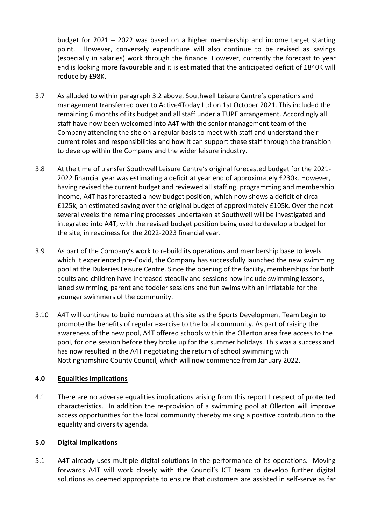budget for 2021 – 2022 was based on a higher membership and income target starting point. However, conversely expenditure will also continue to be revised as savings (especially in salaries) work through the finance. However, currently the forecast to year end is looking more favourable and it is estimated that the anticipated deficit of £840K will reduce by £98K.

- 3.7 As alluded to within paragraph 3.2 above, Southwell Leisure Centre's operations and management transferred over to Active4Today Ltd on 1st October 2021. This included the remaining 6 months of its budget and all staff under a TUPE arrangement. Accordingly all staff have now been welcomed into A4T with the senior management team of the Company attending the site on a regular basis to meet with staff and understand their current roles and responsibilities and how it can support these staff through the transition to develop within the Company and the wider leisure industry.
- 3.8 At the time of transfer Southwell Leisure Centre's original forecasted budget for the 2021- 2022 financial year was estimating a deficit at year end of approximately £230k. However, having revised the current budget and reviewed all staffing, programming and membership income, A4T has forecasted a new budget position, which now shows a deficit of circa £125k, an estimated saving over the original budget of approximately £105k. Over the next several weeks the remaining processes undertaken at Southwell will be investigated and integrated into A4T, with the revised budget position being used to develop a budget for the site, in readiness for the 2022-2023 financial year.
- 3.9 As part of the Company's work to rebuild its operations and membership base to levels which it experienced pre-Covid, the Company has successfully launched the new swimming pool at the Dukeries Leisure Centre. Since the opening of the facility, memberships for both adults and children have increased steadily and sessions now include swimming lessons, laned swimming, parent and toddler sessions and fun swims with an inflatable for the younger swimmers of the community.
- 3.10 A4T will continue to build numbers at this site as the Sports Development Team begin to promote the benefits of regular exercise to the local community. As part of raising the awareness of the new pool, A4T offered schools within the Ollerton area free access to the pool, for one session before they broke up for the summer holidays. This was a success and has now resulted in the A4T negotiating the return of school swimming with Nottinghamshire County Council, which will now commence from January 2022.

# **4.0 Equalities Implications**

4.1 There are no adverse equalities implications arising from this report I respect of protected characteristics. In addition the re-provision of a swimming pool at Ollerton will improve access opportunities for the local community thereby making a positive contribution to the equality and diversity agenda.

#### **5.0 Digital Implications**

5.1 A4T already uses multiple digital solutions in the performance of its operations. Moving forwards A4T will work closely with the Council's ICT team to develop further digital solutions as deemed appropriate to ensure that customers are assisted in self-serve as far